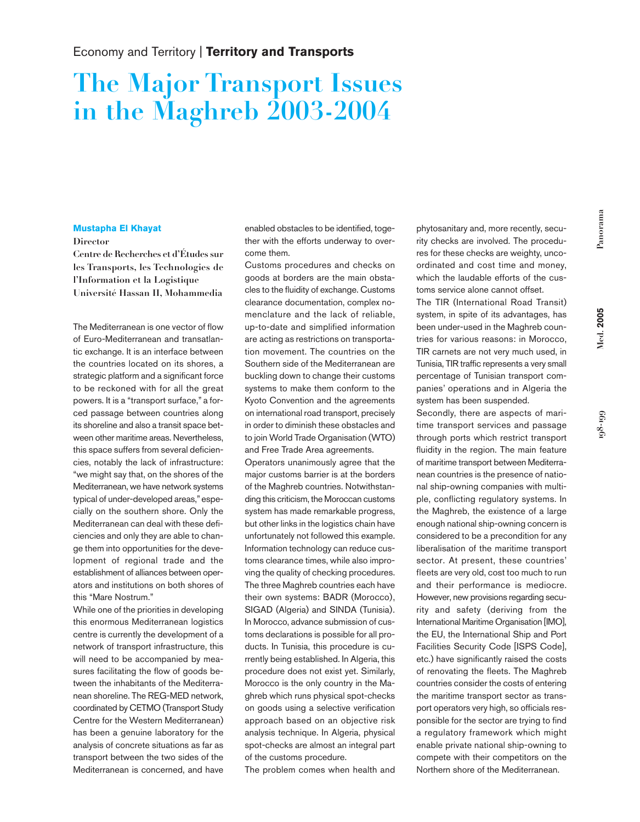**198-199**

## **The Major Transport Issues in the Maghreb 2003-2004**

## **Mustapha El Khayat**

## **Director**

**Centre de Recherches et d'Études sur les Transports, les Technologies de l'Information et la Logistique Université Hassan II, Mohammedia**

The Mediterranean is one vector of flow of Euro-Mediterranean and transatlantic exchange. It is an interface between the countries located on its shores, a strategic platform and a significant force to be reckoned with for all the great powers. It is a "transport surface," a forced passage between countries along its shoreline and also a transit space between other maritime areas. Nevertheless, this space suffers from several deficiencies, notably the lack of infrastructure: "we might say that, on the shores of the Mediterranean, we have network systems typical of under-developed areas,"especially on the southern shore. Only the Mediterranean can deal with these deficiencies and only they are able to change them into opportunities for the development of regional trade and the establishment of alliances between operators and institutions on both shores of this "Mare Nostrum."

While one of the priorities in developing this enormous Mediterranean logistics centre is currently the development of a network of transport infrastructure, this will need to be accompanied by measures facilitating the flow of goods between the inhabitants of the Mediterranean shoreline. The REG-MED network, coordinated by CETMO (Transport Study Centre for the Western Mediterranean) has been a genuine laboratory for the analysis of concrete situations as far as transport between the two sides of the Mediterranean is concerned, and have

enabled obstacles to be identified, together with the efforts underway to overcome them.

Customs procedures and checks on goods at borders are the main obstacles to the fluidity of exchange. Customs clearance documentation, complex nomenclature and the lack of reliable, up-to-date and simplified information are acting as restrictions on transportation movement. The countries on the Southern side of the Mediterranean are buckling down to change their customs systems to make them conform to the Kyoto Convention and the agreements on international road transport, precisely in order to diminish these obstacles and to join World Trade Organisation (WTO) and Free Trade Area agreements.

Operators unanimously agree that the major customs barrier is at the borders of the Maghreb countries. Notwithstanding this criticism, the Moroccan customs system has made remarkable progress, but other links in the logistics chain have unfortunately not followed this example. Information technology can reduce customs clearance times, while also improving the quality of checking procedures. The three Maghreb countries each have their own systems: BADR (Morocco), SIGAD (Algeria) and SINDA (Tunisia). In Morocco, advance submission of customs declarations is possible for all products. In Tunisia, this procedure is currently being established. In Algeria, this procedure does not exist yet. Similarly, Morocco is the only country in the Maghreb which runs physical spot-checks on goods using a selective verification approach based on an objective risk analysis technique. In Algeria, physical spot-checks are almost an integral part of the customs procedure.

The problem comes when health and

phytosanitary and, more recently, security checks are involved. The procedures for these checks are weighty, uncoordinated and cost time and money, which the laudable efforts of the customs service alone cannot offset.

The TIR (International Road Transit) system, in spite of its advantages, has been under-used in the Maghreb countries for various reasons: in Morocco, TIR carnets are not very much used, in Tunisia, TIR traffic represents a very small percentage of Tunisian transport companies' operations and in Algeria the system has been suspended.

Secondly, there are aspects of maritime transport services and passage through ports which restrict transport fluidity in the region. The main feature of maritime transport between Mediterranean countries is the presence of national ship-owning companies with multiple, conflicting regulatory systems. In the Maghreb, the existence of a large enough national ship-owning concern is considered to be a precondition for any liberalisation of the maritime transport sector. At present, these countries' fleets are very old, cost too much to run and their performance is mediocre. However, new provisions regarding security and safety (deriving from the International Maritime Organisation [IMO], the EU, the International Ship and Port Facilities Security Code [ISPS Code], etc.) have significantly raised the costs of renovating the fleets. The Maghreb countries consider the costs of entering the maritime transport sector as transport operators very high, so officials responsible for the sector are trying to find a regulatory framework which might enable private national ship-owning to compete with their competitors on the Northern shore of the Mediterranean.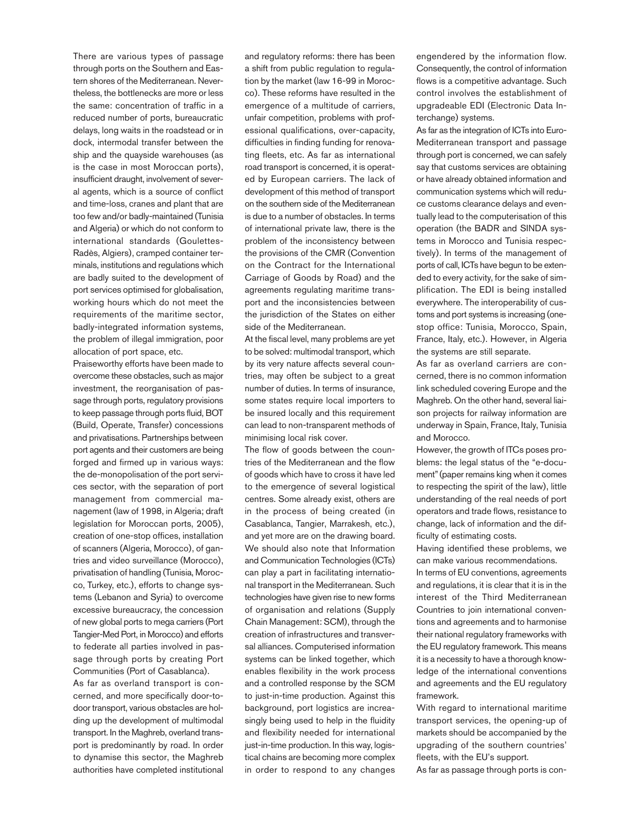There are various types of passage through ports on the Southern and Eastern shores of the Mediterranean. Nevertheless, the bottlenecks are more or less the same: concentration of traffic in a reduced number of ports, bureaucratic delays, long waits in the roadstead or in dock, intermodal transfer between the ship and the quayside warehouses (as is the case in most Moroccan ports), insufficient draught, involvement of several agents, which is a source of conflict and time-loss, cranes and plant that are too few and/or badly-maintained (Tunisia and Algeria) or which do not conform to international standards (Goulettes-Radès, Algiers), cramped container terminals, institutions and regulations which are badly suited to the development of port services optimised for globalisation, working hours which do not meet the requirements of the maritime sector, badly-integrated information systems, the problem of illegal immigration, poor allocation of port space, etc.

Praiseworthy efforts have been made to overcome these obstacles, such as major investment, the reorganisation of passage through ports, regulatory provisions to keep passage through ports fluid, BOT (Build, Operate, Transfer) concessions and privatisations. Partnerships between port agents and their customers are being forged and firmed up in various ways: the de-monopolisation of the port services sector, with the separation of port management from commercial management (law of 1998, in Algeria; draft legislation for Moroccan ports, 2005), creation of one-stop offices, installation of scanners (Algeria, Morocco), of gantries and video surveillance (Morocco), privatisation of handling (Tunisia, Morocco, Turkey, etc.), efforts to change systems (Lebanon and Syria) to overcome excessive bureaucracy, the concession of new global ports to mega carriers (Port Tangier-Med Port, in Morocco) and efforts to federate all parties involved in passage through ports by creating Port Communities (Port of Casablanca).

As far as overland transport is concerned, and more specifically door-todoor transport, various obstacles are holding up the development of multimodal transport. In the Maghreb, overland transport is predominantly by road. In order to dynamise this sector, the Maghreb authorities have completed institutional

and regulatory reforms: there has been a shift from public regulation to regulation by the market (law 16-99 in Morocco). These reforms have resulted in the emergence of a multitude of carriers, unfair competition, problems with professional qualifications, over-capacity, difficulties in finding funding for renovating fleets, etc. As far as international road transport is concerned, it is operated by European carriers. The lack of development of this method of transport on the southern side of the Mediterranean is due to a number of obstacles. In terms of international private law, there is the problem of the inconsistency between the provisions of the CMR (Convention on the Contract for the International Carriage of Goods by Road) and the agreements regulating maritime transport and the inconsistencies between the jurisdiction of the States on either side of the Mediterranean.

At the fiscal level, many problems are yet to be solved: multimodal transport, which by its very nature affects several countries, may often be subject to a great number of duties. In terms of insurance, some states require local importers to be insured locally and this requirement can lead to non-transparent methods of minimising local risk cover.

The flow of goods between the countries of the Mediterranean and the flow of goods which have to cross it have led to the emergence of several logistical centres. Some already exist, others are in the process of being created (in Casablanca, Tangier, Marrakesh, etc.), and yet more are on the drawing board. We should also note that Information and Communication Technologies (ICTs) can play a part in facilitating international transport in the Mediterranean. Such technologies have given rise to new forms of organisation and relations (Supply Chain Management: SCM), through the creation of infrastructures and transversal alliances. Computerised information systems can be linked together, which enables flexibility in the work process and a controlled response by the SCM to just-in-time production. Against this background, port logistics are increasingly being used to help in the fluidity and flexibility needed for international just-in-time production. In this way, logistical chains are becoming more complex in order to respond to any changes engendered by the information flow. Consequently, the control of information flows is a competitive advantage. Such control involves the establishment of upgradeable EDI (Electronic Data Interchange) systems.

As far as the integration of ICTs into Euro-Mediterranean transport and passage through port is concerned, we can safely say that customs services are obtaining or have already obtained information and communication systems which will reduce customs clearance delays and eventually lead to the computerisation of this operation (the BADR and SINDA systems in Morocco and Tunisia respectively). In terms of the management of ports of call, ICTs have begun to be extended to every activity, for the sake of simplification. The EDI is being installed everywhere. The interoperability of customs and port systems is increasing (onestop office: Tunisia, Morocco, Spain, France, Italy, etc.). However, in Algeria the systems are still separate.

As far as overland carriers are concerned, there is no common information link scheduled covering Europe and the Maghreb. On the other hand, several liaison projects for railway information are underway in Spain, France, Italy, Tunisia and Morocco.

However, the growth of ITCs poses problems: the legal status of the "e-document"(paper remains king when it comes to respecting the spirit of the law), little understanding of the real needs of port operators and trade flows, resistance to change, lack of information and the difficulty of estimating costs.

Having identified these problems, we can make various recommendations.

In terms of EU conventions, agreements and regulations, it is clear that it is in the interest of the Third Mediterranean Countries to join international conventions and agreements and to harmonise their national regulatory frameworks with the EU regulatory framework. This means it is a necessity to have a thorough knowledge of the international conventions and agreements and the EU regulatory framework.

With regard to international maritime transport services, the opening-up of markets should be accompanied by the upgrading of the southern countries' fleets, with the EU's support.

As far as passage through ports is con-